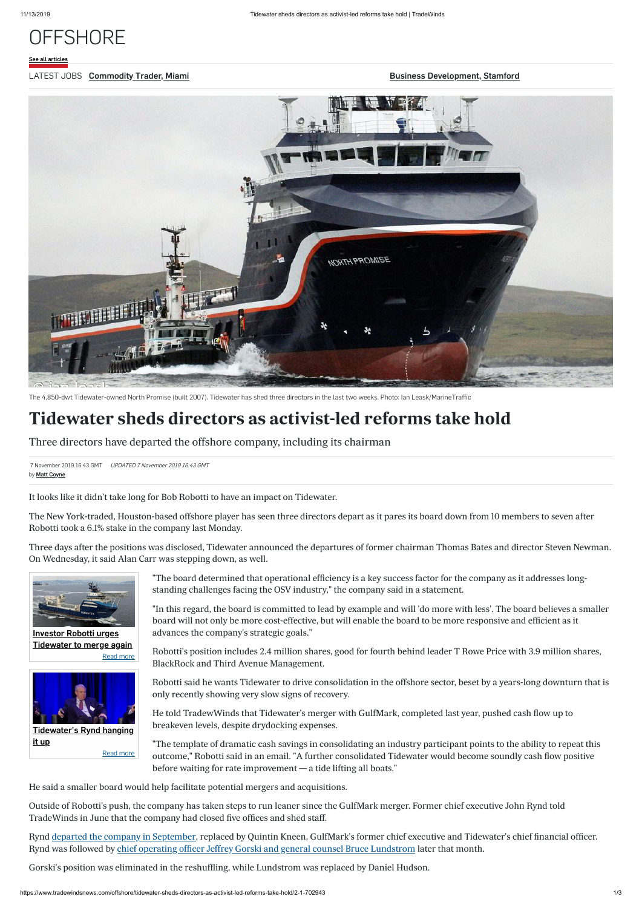[See all articles](https://www.tradewindsnews.com/offshore)

### LATEST JOBS Commodity Trader, Miami

**[Business Development, Stamford](https://www.tradewindsjobs.com/job-details/3112/business-development-stamford/?utm_source=JobExtract&utm_medium=referral)** 

7 November 2019 16:43 GMT UPDATED 7 November 2019 16:43 GMT by **[Matt Coyne](mailto:matt.coyne@tradewindsnews.com?subject=Tidewater%20sheds%20directors%20as%20activist-led%20reforms%20take%20hold)** 



The 4,850-dwt Tidewater-owned North Promise (built 2007). Tidewater has shed three directors in the last two weeks. Photo: Ian Leask/MarineTraffic

# **Tidewater sheds directors as activist-led reforms take hold**

Three directors have departed the offshore company, including its chairman

It looks like it didn't take long for Bob Robotti to have an impact on Tidewater.

The New York-traded, Houston-based offshore player has seen three directors depart as it pares its board down from 10 members to seven after Robotti took a 6.1% stake in the company last Monday.

Three days after the positions was disclosed, Tidewater announced the departures of former chairman Thomas Bates and director Steven Newman. On Wednesday, it said Alan Carr was stepping down, as well.

> "The board determined that operational efficiency is a key success factor for the company as it addresses longstanding challenges facing the OSV industry," the company said in a statement.

"In this regard, the board is committed to lead by example and will 'do more with less'. The board believes a smaller board will not only be more cost-effective, but will enable the board to be more responsive and efficient as it advances the company's strategic goals."

Rynd [departed the company in September](https://www.tradewindsnews.com/offshore/tidewaters-rynd-hanging-it-up/2-1-666436), replaced by Quintin Kneen, GulfMark's former chief executive and Tidewater's chief financial officer. Rynd was followed by [chief operating officer Jeffrey Gorski and general counsel Bruce Lundstrom](https://www.tradewindsnews.com/people/two-more-leave-tidewater/2-1-679857) later that month.

Robotti's position includes 2.4 million shares, good for fourth behind leader T Rowe Price with 3.9 million shares, BlackRock and Third Avenue Management.

Robotti said he wants Tidewater to drive consolidation in the offshore sector, beset by a years-long downturn that is

only recently showing very slow signs of recovery.

He told TradewWinds that Tidewater's merger with GulfMark, completed last year, pushed cash flow up to breakeven levels, despite drydocking expenses.

"The template of dramatic cash savings in consolidating an industry participant points to the ability to repeat this outcome," Robotti said in an email. "A further consolidated Tidewater would become soundly cash flow positive before waiting for rate improvement — a tide lifting all boats."

He said a smaller board would help facilitate potential mergers and acquisitions.

Outside of Robotti's push, the company has taken steps to run leaner since the GulfMark merger. Former chief executive John Rynd told TradeWinds in June that the company had closed five offices and shed staff.

Gorski's position was eliminated in the reshuffling, while Lundstrom was replaced by Daniel Hudson.



[Read more](https://www.tradewindsnews.com/2-1-697426) Investor Robotti urges [Tidewater to merge again](https://www.tradewindsnews.com/2-1-697426)



[Read more](https://www.tradewindsnews.com/2-1-666436) [Tidewater's Rynd hanging](https://www.tradewindsnews.com/2-1-666436) it up